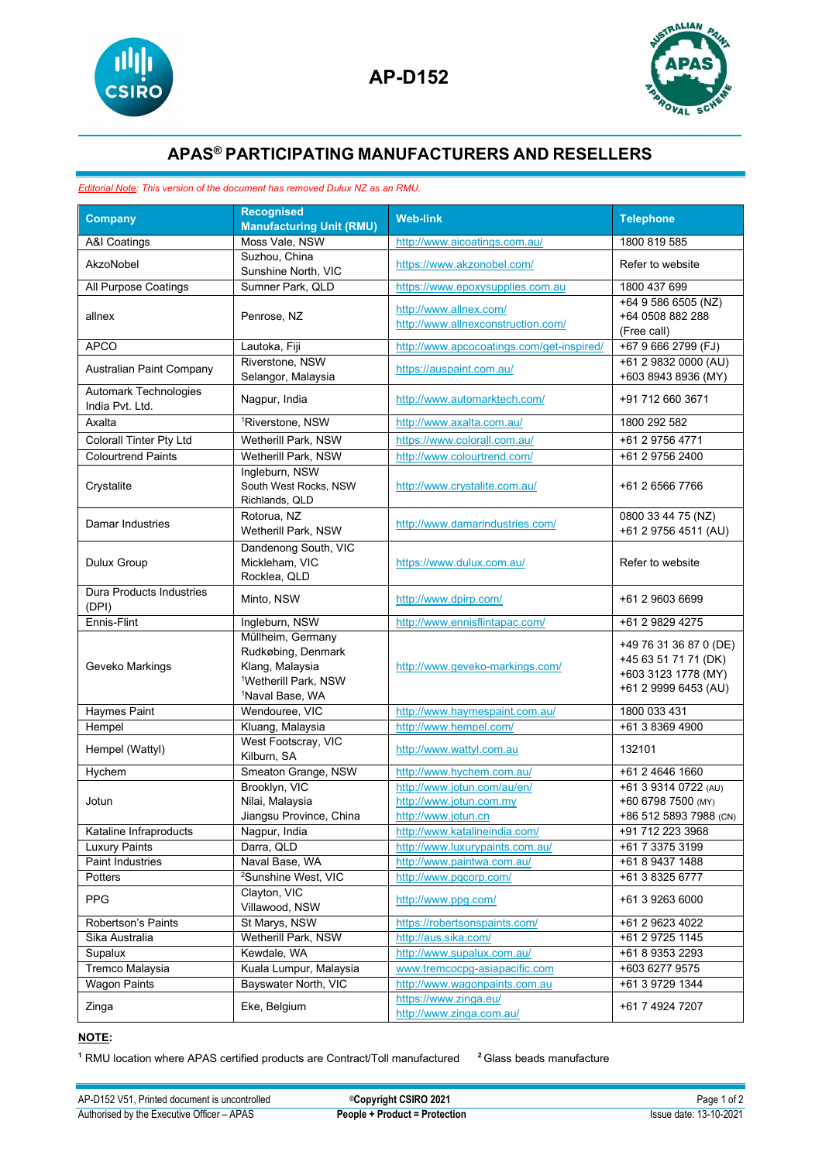



## **APAS® PARTICIPATING MANUFACTURERS AND RESELLERS**

## *Editorial Note: This version of the document has removed Dulux NZ as an RMU.*

| <b>Company</b>                                  | <b>Recognised</b><br><b>Manufacturing Unit (RMU)</b>                                                                          | <b>Web-link</b>                                                               | <b>Telephone</b>                                                                              |
|-------------------------------------------------|-------------------------------------------------------------------------------------------------------------------------------|-------------------------------------------------------------------------------|-----------------------------------------------------------------------------------------------|
| A&I Coatings                                    | Moss Vale, NSW                                                                                                                | http://www.aicoatings.com.au/                                                 | 1800 819 585                                                                                  |
| AkzoNobel                                       | Suzhou, China<br>Sunshine North, VIC                                                                                          | https://www.akzonobel.com/                                                    | Refer to website                                                                              |
| All Purpose Coatings                            | Sumner Park, QLD                                                                                                              | https://www.epoxysupplies.com.au                                              | 1800 437 699                                                                                  |
| allnex                                          | Penrose, NZ                                                                                                                   | http://www.allnex.com/<br>http://www.allnexconstruction.com/                  | +64 9 586 6505 (NZ)<br>+64 0508 882 288<br>(Free call)                                        |
| <b>APCO</b>                                     | Lautoka, Fiji                                                                                                                 | http://www.apcocoatings.com/get-inspired/                                     | +67 9 666 2799 (FJ)                                                                           |
| Australian Paint Company                        | Riverstone, NSW<br>Selangor, Malaysia                                                                                         | https://auspaint.com.au/                                                      | +61 2 9832 0000 (AU)<br>+603 8943 8936 (MY)                                                   |
| <b>Automark Technologies</b><br>India Pvt. Ltd. | Nagpur, India                                                                                                                 | http://www.automarktech.com/                                                  | +91 712 660 3671                                                                              |
| Axalta                                          | <sup>1</sup> Riverstone, NSW                                                                                                  | http://www.axalta.com.au/                                                     | 1800 292 582                                                                                  |
| Colorall Tinter Pty Ltd                         | Wetherill Park, NSW                                                                                                           | https://www.colorall.com.au/                                                  | +61 2 9756 4771                                                                               |
| <b>Colourtrend Paints</b>                       | Wetherill Park, NSW                                                                                                           | http://www.colourtrend.com/                                                   | +61 2 9756 2400                                                                               |
| Crystalite                                      | Ingleburn, NSW<br>South West Rocks, NSW<br>Richlands, QLD                                                                     | http://www.crystalite.com.au/                                                 | +61 2 6566 7766                                                                               |
| Damar Industries                                | Rotorua, NZ<br>Wetherill Park, NSW                                                                                            | http://www.damarindustries.com/                                               | 0800 33 44 75 (NZ)<br>+61 2 9756 4511 (AU)                                                    |
| <b>Dulux Group</b>                              | Dandenong South, VIC<br>Mickleham, VIC<br>Rocklea, QLD                                                                        | https://www.dulux.com.au/                                                     | Refer to website                                                                              |
| <b>Dura Products Industries</b><br>(DPI)        | Minto, NSW                                                                                                                    | http://www.dpirp.com/                                                         | +61 2 9603 6699                                                                               |
| Ennis-Flint                                     | Ingleburn, NSW                                                                                                                | http://www.ennisflintapac.com/                                                | +61 2 9829 4275                                                                               |
| Geveko Markings                                 | Müllheim, Germany<br>Rudkøbing, Denmark<br>Klang, Malaysia<br><sup>1</sup> Wetherill Park, NSW<br><sup>1</sup> Naval Base, WA | http://www.geveko-markings.com/                                               | +49 76 31 36 87 0 (DE)<br>+45 63 51 71 71 (DK)<br>+603 3123 1778 (MY)<br>+61 2 9999 6453 (AU) |
| <b>Haymes Paint</b>                             | Wendouree, VIC                                                                                                                | http://www.haymespaint.com.au/                                                | 1800 033 431                                                                                  |
| Hempel                                          | Kluang, Malaysia                                                                                                              | http://www.hempel.com/                                                        | +61 3 8369 4900                                                                               |
| Hempel (Wattyl)                                 | West Footscray, VIC<br>Kilburn, SA                                                                                            | http://www.wattyl.com.au                                                      | 132101                                                                                        |
| Hychem                                          | Smeaton Grange, NSW                                                                                                           | http://www.hychem.com.au/                                                     | +61 2 4646 1660                                                                               |
| Jotun                                           | Brooklyn, VIC<br>Nilai, Malaysia<br>Jiangsu Province, China                                                                   | http://www.jotun.com/au/en/<br>http://www.jotun.com.my<br>http://www.jotun.cn | +61 3 9314 0722 (AU)<br>+60 6798 7500 (MY)<br>+86 512 5893 7988 (CN)                          |
| Kataline Infraproducts                          | Nagpur, India                                                                                                                 | http://www.katalineindia.com/                                                 | +91 712 223 3968                                                                              |
| <b>Luxury Paints</b>                            | Darra, QLD                                                                                                                    | http://www.luxurypaints.com.au/                                               | +61 7 3375 3199                                                                               |
| Paint Industries                                | Naval Base, WA                                                                                                                | http://www.paintwa.com.au/                                                    | +61 8 9437 1488                                                                               |
| <b>Potters</b>                                  | <sup>2</sup> Sunshine West, VIC                                                                                               | http://www.pgcorp.com/                                                        | +61 3 8325 6777                                                                               |
| <b>PPG</b>                                      | Clayton, VIC<br>Villawood, NSW                                                                                                | http://www.ppg.com/                                                           | +61 3 9263 6000                                                                               |
| Robertson's Paints                              | St Marys, NSW                                                                                                                 | https://robertsonspaints.com/                                                 | +61 2 9623 4022                                                                               |
| Sika Australia                                  | Wetherill Park, NSW                                                                                                           | http://aus.sika.com/                                                          | +61 2 9725 1145                                                                               |
| Supalux                                         | Kewdale, WA                                                                                                                   | http://www.supalux.com.au/                                                    | +61 8 9353 2293                                                                               |
| Tremco Malaysia                                 | Kuala Lumpur, Malaysia                                                                                                        | www.tremcocpg-asiapacific.com                                                 | +603 6277 9575                                                                                |
| <b>Wagon Paints</b>                             | Bayswater North, VIC                                                                                                          | http://www.wagonpaints.com.au                                                 | +61 3 9729 1344                                                                               |
| Zinga                                           | Eke, Belgium                                                                                                                  | https://www.zinga.eu/<br>http://www.zinga.com.au/                             | +61 7 4924 7207                                                                               |

## **NOTE:**

**<sup>1</sup>** RMU location where APAS certified products are Contract/Toll manufactured **<sup>2</sup>** Glass beads manufacture